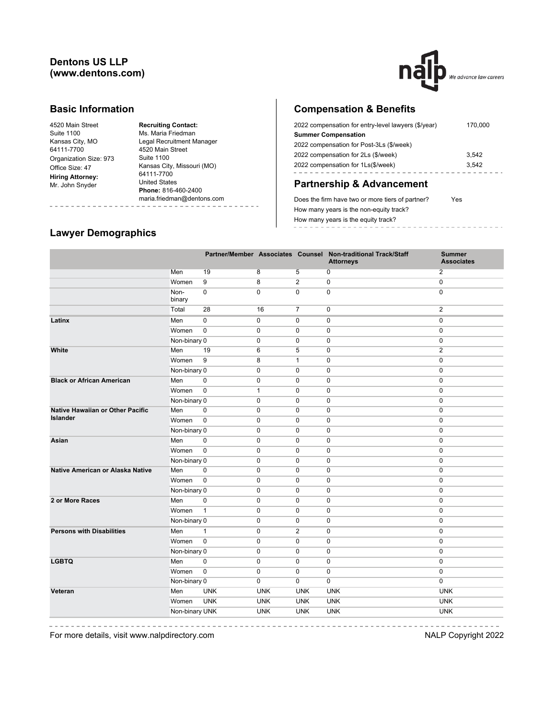### **Dentons US LLP (www.dentons.com)**



#### **Basic Information**

| 4520 Main Street        |
|-------------------------|
| <b>Suite 1100</b>       |
| Kansas City, MO         |
| 64111-7700              |
| Organization Size: 973  |
| Office Size: 47         |
| <b>Hiring Attorney:</b> |
| Mr. John Snyder         |
|                         |

**Recruiting Contact:** Ms. Maria Friedman Legal Recruitment Manager 4520 Main Street Suite 1100 Kansas City, Missouri (MO) 64111-7700 United States **Phone:** 816-460-2400 maria.friedman@dentons.com

## **Compensation & Benefits**

| 2022 compensation for entry-level lawyers (\$/year) | 170,000 |
|-----------------------------------------------------|---------|
| <b>Summer Compensation</b>                          |         |
| 2022 compensation for Post-3Ls (\$/week)            |         |
| 2022 compensation for 2Ls (\$/week)                 | 3.542   |
| 2022 compensation for 1Ls(\$/week)                  | 3.542   |
|                                                     |         |

# **Partnership & Advancement**

Does the firm have two or more tiers of partner? Yes How many years is the non-equity track? How many years is the equity track? ---------------

#### **Lawyer Demographics**

|                                  |                |              |              |                | Partner/Member Associates Counsel Non-traditional Track/Staff<br><b>Attorneys</b> | <b>Summer</b><br><b>Associates</b> |
|----------------------------------|----------------|--------------|--------------|----------------|-----------------------------------------------------------------------------------|------------------------------------|
|                                  | Men            | 19           | 8            | 5              | 0                                                                                 | $\overline{2}$                     |
|                                  | Women          | 9            | 8            | $\mathbf{2}$   | $\mathbf 0$                                                                       | $\mathbf 0$                        |
|                                  | Non-<br>binary | 0            | $\mathbf 0$  | $\Omega$       | $\mathbf 0$                                                                       | $\mathbf 0$                        |
|                                  | Total          | 28           | 16           | $\overline{7}$ | $\mathbf 0$                                                                       | $\mathbf{2}$                       |
| Latinx                           | Men            | 0            | 0            | 0              | $\mathbf 0$                                                                       | $\mathbf 0$                        |
|                                  | Women          | $\mathbf 0$  | 0            | $\mathbf 0$    | $\mathbf 0$                                                                       | $\mathbf 0$                        |
|                                  | Non-binary 0   |              | $\mathbf 0$  | $\mathbf 0$    | $\mathbf 0$                                                                       | 0                                  |
| White                            | Men            | 19           | 6            | 5              | $\mathbf 0$                                                                       | $\overline{2}$                     |
|                                  | Women          | 9            | 8            | $\mathbf{1}$   | $\mathbf 0$                                                                       | $\mathbf 0$                        |
|                                  | Non-binary 0   |              | $\mathbf 0$  | $\mathbf 0$    | $\mathbf 0$                                                                       | $\mathbf 0$                        |
| <b>Black or African American</b> | Men            | $\mathbf 0$  | $\mathbf 0$  | $\mathbf 0$    | $\mathbf 0$                                                                       | $\mathbf 0$                        |
|                                  | Women          | $\mathbf 0$  | $\mathbf{1}$ | $\mathbf 0$    | $\mathbf 0$                                                                       | $\mathbf 0$                        |
|                                  | Non-binary 0   |              | $\mathbf 0$  | 0              | $\mathbf 0$                                                                       | 0                                  |
| Native Hawaiian or Other Pacific | Men            | $\mathbf 0$  | $\mathbf 0$  | 0              | $\mathbf 0$                                                                       | 0                                  |
| <b>Islander</b>                  | Women          | $\mathsf 0$  | $\mathbf 0$  | 0              | $\mathbf 0$                                                                       | 0                                  |
|                                  | Non-binary 0   |              | $\mathbf 0$  | $\mathbf 0$    | $\mathbf 0$                                                                       | $\pmb{0}$                          |
| Asian                            | Men            | $\mathbf 0$  | $\mathbf 0$  | $\mathbf 0$    | $\pmb{0}$                                                                         | $\pmb{0}$                          |
|                                  | Women          | $\mathbf 0$  | $\mathbf 0$  | $\mathbf 0$    | $\pmb{0}$                                                                         | $\pmb{0}$                          |
|                                  | Non-binary 0   |              | $\mathbf 0$  | $\mathbf 0$    | $\mathbf 0$                                                                       | $\mathbf 0$                        |
| Native American or Alaska Native | Men            | $\mathbf 0$  | $\mathbf 0$  | $\mathbf 0$    | $\mathbf 0$                                                                       | $\mathbf 0$                        |
|                                  | Women          | $\mathbf 0$  | $\mathbf 0$  | $\mathbf 0$    | $\mathbf 0$                                                                       | $\mathbf 0$                        |
|                                  | Non-binary 0   |              | $\mathbf 0$  | $\mathbf 0$    | $\mathbf 0$                                                                       | $\mathbf 0$                        |
| 2 or More Races                  | Men            | 0            | $\mathbf 0$  | $\mathbf 0$    | $\mathbf 0$                                                                       | $\mathbf 0$                        |
|                                  | Women          | $\mathbf{1}$ | $\mathbf 0$  | $\mathbf 0$    | $\mathbf 0$                                                                       | $\mathbf 0$                        |
|                                  | Non-binary 0   |              | $\mathbf 0$  | $\mathbf 0$    | $\mathbf 0$                                                                       | $\mathbf 0$                        |
| <b>Persons with Disabilities</b> | Men            | $\mathbf{1}$ | 0            | 2              | $\mathbf 0$                                                                       | $\mathbf 0$                        |
|                                  | Women          | $\mathbf 0$  | $\mathbf 0$  | $\mathbf 0$    | $\mathbf 0$                                                                       | $\mathbf 0$                        |
|                                  | Non-binary 0   |              | $\mathbf 0$  | $\mathbf 0$    | $\mathbf 0$                                                                       | $\mathbf 0$                        |
| <b>LGBTQ</b>                     | Men            | $\Omega$     | $\mathbf 0$  | $\Omega$       | $\mathbf 0$                                                                       | $\mathbf 0$                        |
|                                  | Women          | $\mathbf 0$  | $\mathbf 0$  | $\Omega$       | $\mathbf 0$                                                                       | $\mathbf 0$                        |
|                                  | Non-binary 0   |              | $\mathbf 0$  | $\mathbf 0$    | $\mathbf 0$                                                                       | $\mathbf 0$                        |
| Veteran                          | Men            | <b>UNK</b>   | <b>UNK</b>   | <b>UNK</b>     | <b>UNK</b>                                                                        | <b>UNK</b>                         |
|                                  | Women          | <b>UNK</b>   | <b>UNK</b>   | <b>UNK</b>     | <b>UNK</b>                                                                        | <b>UNK</b>                         |
|                                  | Non-binary UNK |              | <b>UNK</b>   | <b>UNK</b>     | <b>UNK</b>                                                                        | <b>UNK</b>                         |

For more details, visit www.nalpdirectory.com **NALP** Copyright 2022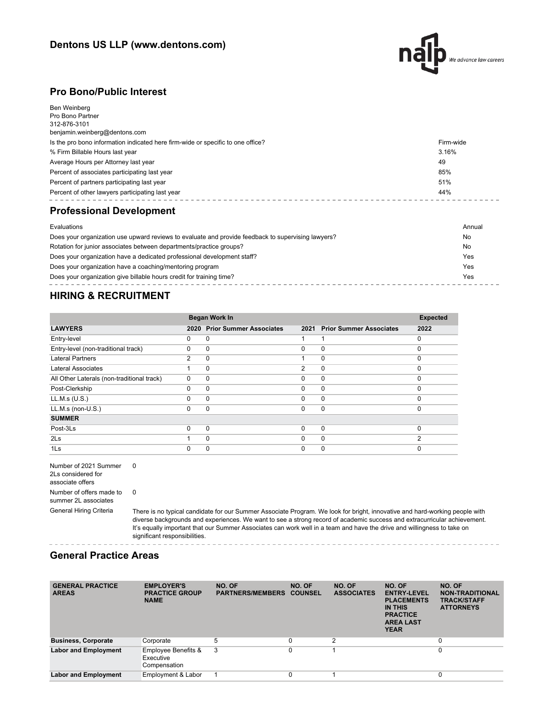

#### **Pro Bono/Public Interest**

| Ben Weinberg<br>Pro Bono Partner<br>312-876-3101<br>benjamin.weinberg@dentons.com |           |
|-----------------------------------------------------------------------------------|-----------|
| Is the pro bono information indicated here firm-wide or specific to one office?   | Firm-wide |
| % Firm Billable Hours last year                                                   | 3.16%     |
| Average Hours per Attorney last year                                              | 49        |
| Percent of associates participating last year                                     | 85%       |
| Percent of partners participating last year                                       | 51%       |
| Percent of other lawyers participating last year                                  | 44%       |
| <b>Professional Development</b>                                                   |           |
| Evaluations                                                                       | Annual    |

| Does your organization use upward reviews to evaluate and provide feedback to supervising lawyers? | No  |
|----------------------------------------------------------------------------------------------------|-----|
| Rotation for junior associates between departments/practice groups?                                | No  |
| Does your organization have a dedicated professional development staff?                            | Yes |
| Does your organization have a coaching/mentoring program                                           | Yes |
| Does your organization give billable hours credit for training time?                               | Yes |

## **HIRING & RECRUITMENT**

|                                            |          | <b>Began Work In</b>           |                |                                |          |  |
|--------------------------------------------|----------|--------------------------------|----------------|--------------------------------|----------|--|
| <b>LAWYERS</b>                             | 2020     | <b>Prior Summer Associates</b> | 2021           | <b>Prior Summer Associates</b> | 2022     |  |
| Entry-level                                | 0        | 0                              | 1              |                                | $\Omega$ |  |
| Entry-level (non-traditional track)        | 0        | 0                              | $\Omega$       | $\mathbf 0$                    | $\Omega$ |  |
| <b>Lateral Partners</b>                    | 2        | $\Omega$                       |                | $\Omega$                       | $\Omega$ |  |
| Lateral Associates                         |          | $\Omega$                       | $\overline{2}$ | $\mathbf 0$                    | $\Omega$ |  |
| All Other Laterals (non-traditional track) | $\Omega$ | 0                              | $\Omega$       | $\mathbf 0$                    | $\Omega$ |  |
| Post-Clerkship                             | 0        | $\Omega$                       | $\Omega$       | $\Omega$                       | $\Omega$ |  |
| LL.M.s (U.S.)                              | $\Omega$ | $\Omega$                       | $\Omega$       | $\mathbf 0$                    | $\Omega$ |  |
| LL.M.s (non-U.S.)                          | $\Omega$ | $\Omega$                       | $\Omega$       | $\mathbf 0$                    | $\Omega$ |  |
| <b>SUMMER</b>                              |          |                                |                |                                |          |  |
| Post-3Ls                                   | $\Omega$ | $\Omega$                       | $\Omega$       | $\mathbf 0$                    | $\Omega$ |  |
| 2 <sub>ls</sub>                            |          | $\Omega$                       | $\Omega$       | $\mathbf 0$                    | ◠        |  |
| 1Ls                                        | 0        | 0                              | 0              | 0                              |          |  |

 $- - - -$ 

Number of 2021 Summer 0 2Ls considered for associate offers Number of offers made to summer 2L associates 0

General Hiring Criteria There is no typical candidate for our Summer Associate Program. We look for bright, innovative and hard-working people with diverse backgrounds and experiences. We want to see a strong record of academic success and extracurricular achievement. It's equally important that our Summer Associates can work well in a team and have the drive and willingness to take on significant responsibilities.

#### **General Practice Areas**

| <b>GENERAL PRACTICE</b><br><b>AREAS</b> | <b>EMPLOYER'S</b><br><b>PRACTICE GROUP</b><br><b>NAME</b>   | NO. OF<br><b>PARTNERS/MEMBERS</b> | NO. OF<br><b>COUNSEL</b> | NO. OF<br><b>ASSOCIATES</b> | NO. OF<br><b>ENTRY-LEVEL</b><br><b>PLACEMENTS</b><br>IN THIS<br><b>PRACTICE</b><br><b>AREA LAST</b><br><b>YEAR</b> | NO. OF<br><b>NON-TRADITIONAL</b><br><b>TRACK/STAFF</b><br><b>ATTORNEYS</b> |
|-----------------------------------------|-------------------------------------------------------------|-----------------------------------|--------------------------|-----------------------------|--------------------------------------------------------------------------------------------------------------------|----------------------------------------------------------------------------|
| <b>Business, Corporate</b>              | Corporate                                                   | 5                                 | 0                        | 2                           |                                                                                                                    | 0                                                                          |
| <b>Labor and Employment</b>             | <b>Employee Benefits &amp;</b><br>Executive<br>Compensation | 3                                 |                          |                             |                                                                                                                    | 0                                                                          |
| <b>Labor and Employment</b>             | Employment & Labor                                          |                                   |                          |                             |                                                                                                                    | 0                                                                          |